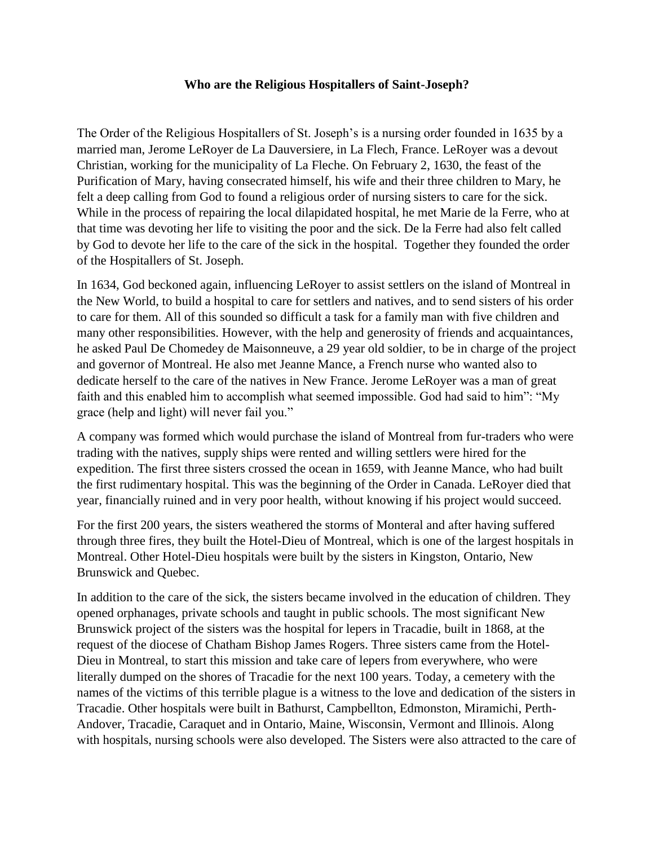## **Who are the Religious Hospitallers of Saint-Joseph?**

The Order of the Religious Hospitallers of St. Joseph's is a nursing order founded in 1635 by a married man, Jerome LeRoyer de La Dauversiere, in La Flech, France. LeRoyer was a devout Christian, working for the municipality of La Fleche. On February 2, 1630, the feast of the Purification of Mary, having consecrated himself, his wife and their three children to Mary, he felt a deep calling from God to found a religious order of nursing sisters to care for the sick. While in the process of repairing the local dilapidated hospital, he met Marie de la Ferre, who at that time was devoting her life to visiting the poor and the sick. De la Ferre had also felt called by God to devote her life to the care of the sick in the hospital. Together they founded the order of the Hospitallers of St. Joseph.

In 1634, God beckoned again, influencing LeRoyer to assist settlers on the island of Montreal in the New World, to build a hospital to care for settlers and natives, and to send sisters of his order to care for them. All of this sounded so difficult a task for a family man with five children and many other responsibilities. However, with the help and generosity of friends and acquaintances, he asked Paul De Chomedey de Maisonneuve, a 29 year old soldier, to be in charge of the project and governor of Montreal. He also met Jeanne Mance, a French nurse who wanted also to dedicate herself to the care of the natives in New France. Jerome LeRoyer was a man of great faith and this enabled him to accomplish what seemed impossible. God had said to him": "My grace (help and light) will never fail you."

A company was formed which would purchase the island of Montreal from fur-traders who were trading with the natives, supply ships were rented and willing settlers were hired for the expedition. The first three sisters crossed the ocean in 1659, with Jeanne Mance, who had built the first rudimentary hospital. This was the beginning of the Order in Canada. LeRoyer died that year, financially ruined and in very poor health, without knowing if his project would succeed.

For the first 200 years, the sisters weathered the storms of Monteral and after having suffered through three fires, they built the Hotel-Dieu of Montreal, which is one of the largest hospitals in Montreal. Other Hotel-Dieu hospitals were built by the sisters in Kingston, Ontario, New Brunswick and Quebec.

In addition to the care of the sick, the sisters became involved in the education of children. They opened orphanages, private schools and taught in public schools. The most significant New Brunswick project of the sisters was the hospital for lepers in Tracadie, built in 1868, at the request of the diocese of Chatham Bishop James Rogers. Three sisters came from the Hotel-Dieu in Montreal, to start this mission and take care of lepers from everywhere, who were literally dumped on the shores of Tracadie for the next 100 years. Today, a cemetery with the names of the victims of this terrible plague is a witness to the love and dedication of the sisters in Tracadie. Other hospitals were built in Bathurst, Campbellton, Edmonston, Miramichi, Perth-Andover, Tracadie, Caraquet and in Ontario, Maine, Wisconsin, Vermont and Illinois. Along with hospitals, nursing schools were also developed. The Sisters were also attracted to the care of